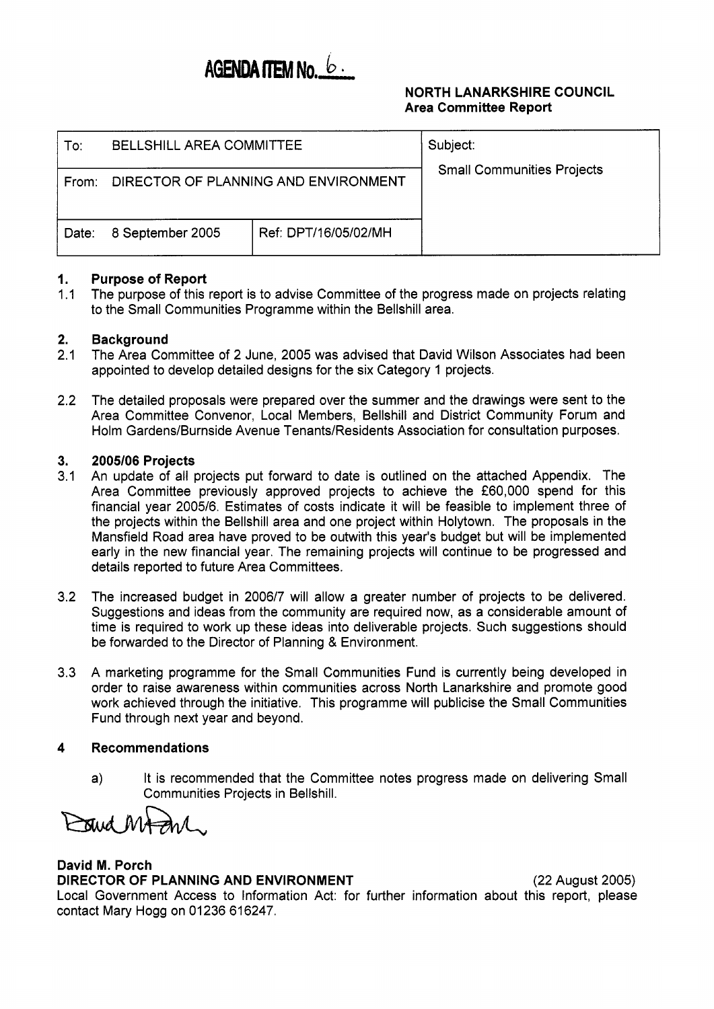# AGENDA ITEM No. 6

### **NORTH LANARKSHIRE COUNCIL Area Committee Report**

| To:   | <b>BELLSHILL AREA COMMITTEE</b>      |                      | Subject:<br><b>Small Communities Projects</b> |
|-------|--------------------------------------|----------------------|-----------------------------------------------|
| From: | DIRECTOR OF PLANNING AND ENVIRONMENT |                      |                                               |
| Date: | 8 September 2005                     | Ref: DPT/16/05/02/MH |                                               |

#### **1. Purpose of Report**

1 .I The purpose of this report is to advise Committee of the progress made on projects relating to the Small Communities Programme within the Bellshill area.

#### **2. Background**

- 2.1 The Area Committee of 2 June, 2005 was advised that David Wilson Associates had been appointed to develop detailed designs for the six Category 1 projects.
- 2.2 The detailed proposals were prepared over the summer and the drawings were sent to the Area Committee Convenor, Local Members, Bellshill and District Community Forum and Holm Gardens/Burnside Avenue Tenants/Residents Association for consultation purposes.

#### **3. 2005/06 Projects**

- 3.1 An update of all projects put forward to date is outlined on the attached Appendix. The Area Committee previously approved projects to achieve the €60,000 spend for this financial year 2005/6. Estimates of costs indicate it will be feasible to implement three of the projects within the Bellshill area and one project within Holytown. The proposals in the Mansfield Road area have proved to be outwith this year's budget but will be implemented early in the new financial year. The remaining projects will continue to be progressed and details reported to future Area Committees.
- 3.2 The increased budget in 2006/7 will allow a greater number of projects to be delivered. Suggestions and ideas from the community are required now, as a considerable amount of time is required to work up these ideas into deliverable projects. Such suggestions should be forwarded to the Director of Planning & Environment.
- 3.3 A marketing programme for the Small Communities Fund is currently being developed in order to raise awareness within communities across North Lanarkshire and promote good work achieved through the initiative. This programme will publicise the Small Communities Fund through next year and beyond.

#### **4 Recommendations**

a) It is recommended that the Committee notes progress made on delivering Small Communities Projects in Bellshill.

Trud MA And

# **David M. Porch DIRECTOR OF PLANNING AND ENVIRONMENT** (22 August 2005)

Local Government Access to Information Act: for further information about this report, please contact Mary Hogg on 01236 616247.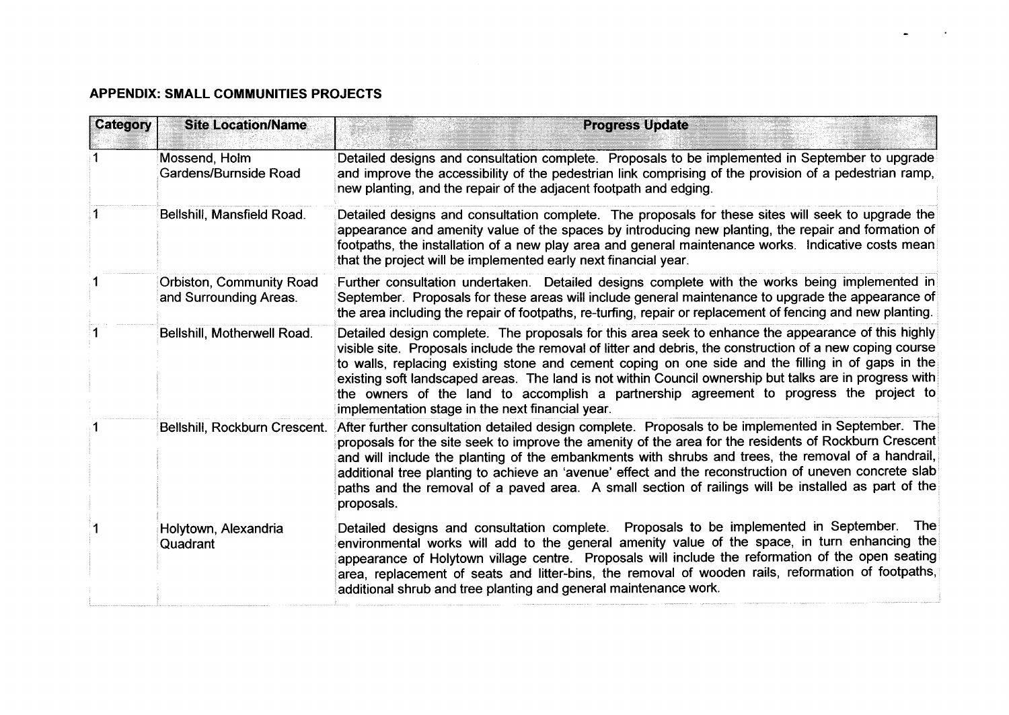## **APPENDIX: SMALL COMMUNITIES PROJECTS**

| Category | <b>Site Location/Name</b>                          | <b>Progress Update</b>                                                                                                                                                                                                                                                                                                                                                                                                                                                                                                                                                           |
|----------|----------------------------------------------------|----------------------------------------------------------------------------------------------------------------------------------------------------------------------------------------------------------------------------------------------------------------------------------------------------------------------------------------------------------------------------------------------------------------------------------------------------------------------------------------------------------------------------------------------------------------------------------|
|          | Mossend, Holm<br>Gardens/Burnside Road             | Detailed designs and consultation complete. Proposals to be implemented in September to upgrade<br>and improve the accessibility of the pedestrian link comprising of the provision of a pedestrian ramp,<br>new planting, and the repair of the adjacent footpath and edging.                                                                                                                                                                                                                                                                                                   |
|          | Bellshill, Mansfield Road.                         | Detailed designs and consultation complete. The proposals for these sites will seek to upgrade the<br>appearance and amenity value of the spaces by introducing new planting, the repair and formation of<br>footpaths, the installation of a new play area and general maintenance works. Indicative costs mean<br>that the project will be implemented early next financial year.                                                                                                                                                                                              |
|          | Orbiston, Community Road<br>and Surrounding Areas. | Further consultation undertaken. Detailed designs complete with the works being implemented in<br>September. Proposals for these areas will include general maintenance to upgrade the appearance of<br>the area including the repair of footpaths, re-turfing, repair or replacement of fencing and new planting.                                                                                                                                                                                                                                                               |
|          | Bellshill, Motherwell Road.                        | Detailed design complete. The proposals for this area seek to enhance the appearance of this highly<br>visible site. Proposals include the removal of litter and debris, the construction of a new coping course<br>to walls, replacing existing stone and cement coping on one side and the filling in of gaps in the<br>existing soft landscaped areas. The land is not within Council ownership but talks are in progress with<br>the owners of the land to accomplish a partnership agreement to progress the project to<br>implementation stage in the next financial year. |
|          | Bellshill, Rockburn Crescent.                      | After further consultation detailed design complete. Proposals to be implemented in September. The<br>proposals for the site seek to improve the amenity of the area for the residents of Rockburn Crescent<br>and will include the planting of the embankments with shrubs and trees, the removal of a handrail,<br>additional tree planting to achieve an 'avenue' effect and the reconstruction of uneven concrete slab<br>paths and the removal of a paved area. A small section of railings will be installed as part of the<br>proposals.                                  |
|          | Holytown, Alexandria<br>Quadrant                   | The <b>The</b><br>Detailed designs and consultation complete. Proposals to be implemented in September.<br>environmental works will add to the general amenity value of the space, in turn enhancing the<br>appearance of Holytown village centre. Proposals will include the reformation of the open seating<br>area, replacement of seats and litter-bins, the removal of wooden rails, reformation of footpaths,<br>additional shrub and tree planting and general maintenance work.                                                                                          |

 $\bullet$ 

 $\sim$